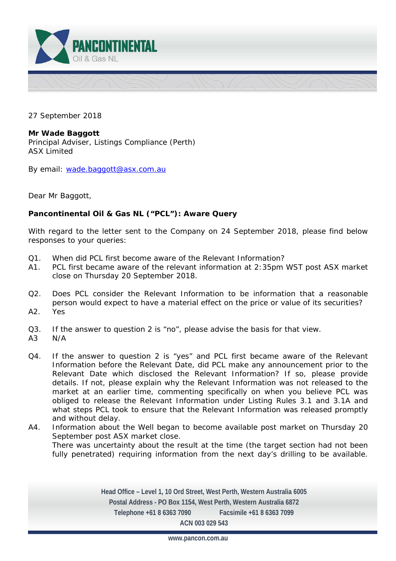

27 September 2018

**Mr Wade Baggott**  Principal Adviser, Listings Compliance (Perth) ASX Limited

By email: wade.baggott@asx.com.au

Dear Mr Baggott,

# **Pancontinental Oil & Gas NL ("PCL"): Aware Query**

With regard to the letter sent to the Company on 24 September 2018, please find below responses to your queries:

- Q1. When did PCL first become aware of the Relevant Information?
- A1. PCL first became aware of the relevant information at 2:35pm WST post ASX market close on Thursday 20 September 2018.
- Q2. Does PCL consider the Relevant Information to be information that a reasonable person would expect to have a material effect on the price or value of its securities? A2. Yes
- Q3. If the answer to question 2 is "no", please advise the basis for that view.
- A3 N/A
- Q4. If the answer to question 2 is "yes" and PCL first became aware of the Relevant Information before the Relevant Date, did PCL make any announcement prior to the Relevant Date which disclosed the Relevant Information? If so, please provide details. If not, please explain why the Relevant Information was not released to the market at an earlier time, commenting specifically on when you believe PCL was obliged to release the Relevant Information under Listing Rules 3.1 and 3.1A and what steps PCL took to ensure that the Relevant Information was released promptly and without delay.
- A4. Information about the Well began to become available post market on Thursday 20 September post ASX market close. There was uncertainty about the result at the time (the target section had not been fully penetrated) requiring information from the next day's drilling to be available.

**Head Office – Level 1, 10 Ord Street, West Perth, Western Australia 6005 Postal Address - PO Box 1154, West Perth, Western Australia 6872 Telephone +61 8 6363 7090 Facsimile +61 8 6363 7099 ACN 003 029 543** 

**www.pancon.com.au**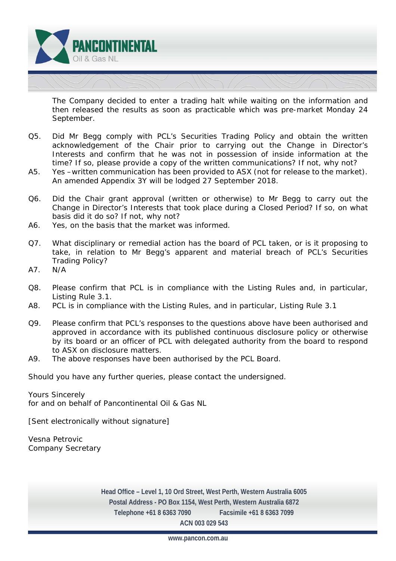

 The Company decided to enter a trading halt while waiting on the information and then released the results as soon as practicable which was pre-market Monday 24 September.

- Q5. Did Mr Begg comply with PCL's Securities Trading Policy and obtain the written acknowledgement of the Chair prior to carrying out the Change in Director's Interests and confirm that he was not in possession of inside information at the time? If so, please provide a copy of the written communications? If not, why not?
- A5. Yes –written communication has been provided to ASX (not for release to the market). An amended Appendix 3Y will be lodged 27 September 2018.
- Q6. Did the Chair grant approval (written or otherwise) to Mr Begg to carry out the Change in Director's Interests that took place during a Closed Period? If so, on what basis did it do so? If not, why not?
- A6. Yes, on the basis that the market was informed.
- Q7. What disciplinary or remedial action has the board of PCL taken, or is it proposing to take, in relation to Mr Begg's apparent and material breach of PCL's Securities Trading Policy?
- A7. N/A
- Q8. Please confirm that PCL is in compliance with the Listing Rules and, in particular, Listing Rule 3.1.
- A8. PCL is in compliance with the Listing Rules, and in particular, Listing Rule 3.1
- Q9. Please confirm that PCL's responses to the questions above have been authorised and approved in accordance with its published continuous disclosure policy or otherwise by its board or an officer of PCL with delegated authority from the board to respond to ASX on disclosure matters.
- A9. The above responses have been authorised by the PCL Board.

Should you have any further queries, please contact the undersigned.

Yours Sincerely for and on behalf of Pancontinental Oil & Gas NL

*[Sent electronically without signature]* 

Vesna Petrovic Company Secretary

> **Head Office – Level 1, 10 Ord Street, West Perth, Western Australia 6005 Postal Address - PO Box 1154, West Perth, Western Australia 6872 Telephone +61 8 6363 7090 Facsimile +61 8 6363 7099 ACN 003 029 543**

> > **www.pancon.com.au**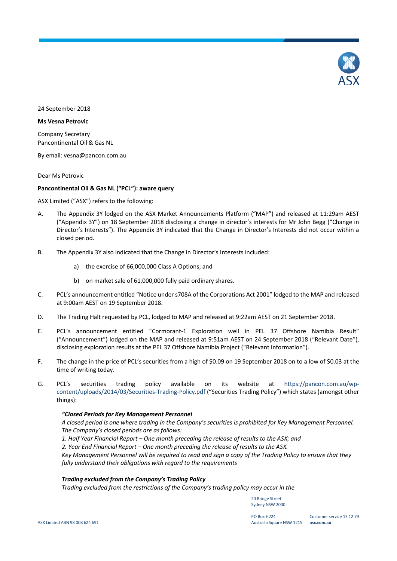

24 September 2018

### **Ms Vesna Petrovic**

Company Secretary Pancontinental Oil & Gas NL

By email: vesna@pancon.com.au

Dear Ms Petrovic

# **Pancontinental Oil & Gas NL ("PCL"): aware query**

ASX Limited ("ASX") refers to the following:

- A. The Appendix 3Y lodged on the ASX Market Announcements Platform ("MAP") and released at 11:29am AEST ("Appendix 3Y") on 18 September 2018 disclosing a change in director's interests for Mr John Begg ("Change in Director's Interests"). The Appendix 3Y indicated that the Change in Director's Interests did not occur within a closed period.
- B. The Appendix 3Y also indicated that the Change in Director's Interests included:
	- a) the exercise of 66,000,000 Class A Options; and
	- b) on market sale of 61,000,000 fully paid ordinary shares.
- C. PCL's announcement entitled "Notice under s708A of the Corporations Act 2001" lodged to the MAP and released at 9:00am AEST on 19 September 2018.
- D. The Trading Halt requested by PCL, lodged to MAP and released at 9:22am AEST on 21 September 2018.
- E. PCL's announcement entitled "Cormorant-1 Exploration well in PEL 37 Offshore Namibia Result" ("Announcement") lodged on the MAP and released at 9:51am AEST on 24 September 2018 ("Relevant Date"), disclosing exploration results at the PEL 37 Offshore Namibia Project ("Relevant Information").
- F. The change in the price of PCL's securities from a high of \$0.09 on 19 September 2018 on to a low of \$0.03 at the time of writing today.
- G. PCL's securities trading policy available on its website at [https://pancon.com.au/wp](https://pancon.com.au/wp-content/uploads/2014/03/Securities-Trading-Policy.pdf)[content/uploads/2014/03/Securities-Trading-Policy.pdf](https://pancon.com.au/wp-content/uploads/2014/03/Securities-Trading-Policy.pdf) ("Securities Trading Policy") which states (amongst other things):

#### *"Closed Periods for Key Management Personnel*

*A closed period is one where trading in the Company's securities is prohibited for Key Management Personnel. The Company's closed periods are as follows:*

*1. Half Year Financial Report – One month preceding the release of results to the ASX; and*

*2. Year End Financial Report – One month preceding the release of results to the ASX.*

*Key Management Personnel will be required to read and sign a copy of the Trading Policy to ensure that they fully understand their obligations with regard to the requirements*

#### *Trading excluded from the Company's Trading Policy*

*Trading excluded from the restrictions of the Company's trading policy may occur in the*

20 Bridge Street Sydney NSW 2000

PO Box H224 Australia Square NSW 1215 **asx.com.au**

Customer service 13 12 79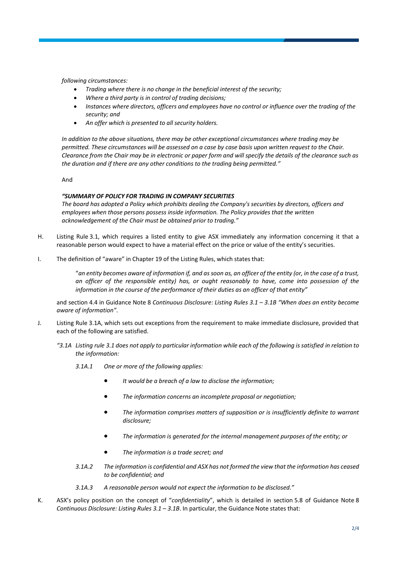*following circumstances:*

- *Trading where there is no change in the beneficial interest of the security;*
- *Where a third party is in control of trading decisions;*
- *Instances where directors, officers and employees have no control or influence over the trading of the security; and*
- *An offer which is presented to all security holders.*

*In addition to the above situations, there may be other exceptional circumstances where trading may be permitted. These circumstances will be assessed on a case by case basis upon written request to the Chair. Clearance from the Chair may be in electronic or paper form and will specify the details of the clearance such as the duration and if there are any other conditions to the trading being permitted."*

And

# *"SUMMARY OF POLICY FOR TRADING IN COMPANY SECURITIES*

*The board has adopted a Policy which prohibits dealing the Company's securities by directors, officers and employees when those persons possess inside information. The Policy provides that the written acknowledgement of the Chair must be obtained prior to trading."*

- H. Listing Rule 3.1, which requires a listed entity to give ASX immediately any information concerning it that a reasonable person would expect to have a material effect on the price or value of the entity's securities.
- I. The definition of "aware" in Chapter 19 of the Listing Rules, which states that:

"*an entity becomes aware of information if, and as soon as, an officer of the entity (or, in the case of a trust, an officer of the responsible entity) has, or ought reasonably to have, come into possession of the information in the course of the performance of their duties as an officer of that entity"*

and section 4.4 in Guidance Note 8 *Continuous Disclosure: Listing Rules 3.1 – 3.1B "When does an entity become aware of information"*.

- J. Listing Rule 3.1A, which sets out exceptions from the requirement to make immediate disclosure, provided that each of the following are satisfied.
	- *"3.1A Listing rule 3.1 does not apply to particular information while each of the following is satisfied in relation to the information:*
		- *3.1A.1 One or more of the following applies:*
			- *It would be a breach of a law to disclose the information;*
			- *The information concerns an incomplete proposal or negotiation;*
			- *The information comprises matters of supposition or is insufficiently definite to warrant disclosure;*
			- *The information is generated for the internal management purposes of the entity; or*
			- *The information is a trade secret; and*
		- *3.1A.2 The information is confidential and ASX has not formed the view that the information has ceased to be confidential; and*
		- *3.1A.3 A reasonable person would not expect the information to be disclosed."*
- K. ASX's policy position on the concept of "*confidentiality*", which is detailed in section 5.8 of Guidance Note 8 *Continuous Disclosure: Listing Rules 3.1 – 3.1B*. In particular, the Guidance Note states that: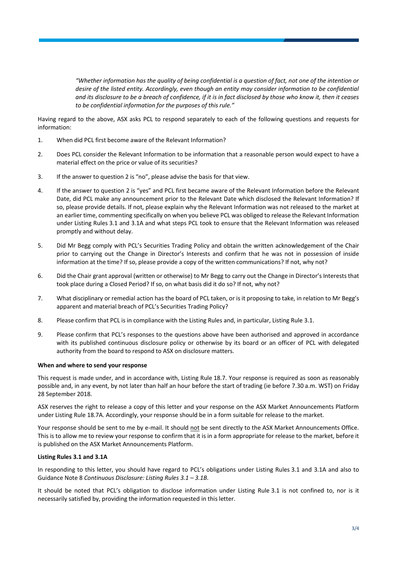*"Whether information has the quality of being confidential is a question of fact, not one of the intention or desire of the listed entity. Accordingly, even though an entity may consider information to be confidential and its disclosure to be a breach of confidence, if it is in fact disclosed by those who know it, then it ceases to be confidential information for the purposes of this rule."*

Having regard to the above, ASX asks PCL to respond separately to each of the following questions and requests for information:

- 1. When did PCL first become aware of the Relevant Information?
- 2. Does PCL consider the Relevant Information to be information that a reasonable person would expect to have a material effect on the price or value of its securities?
- 3. If the answer to question 2 is "no", please advise the basis for that view.
- 4. If the answer to question 2 is "yes" and PCL first became aware of the Relevant Information before the Relevant Date, did PCL make any announcement prior to the Relevant Date which disclosed the Relevant Information? If so, please provide details. If not, please explain why the Relevant Information was not released to the market at an earlier time, commenting specifically on when you believe PCL was obliged to release the Relevant Information under Listing Rules 3.1 and 3.1A and what steps PCL took to ensure that the Relevant Information was released promptly and without delay.
- 5. Did Mr Begg comply with PCL's Securities Trading Policy and obtain the written acknowledgement of the Chair prior to carrying out the Change in Director's Interests and confirm that he was not in possession of inside information at the time? If so, please provide a copy of the written communications? If not, why not?
- 6. Did the Chair grant approval (written or otherwise) to Mr Begg to carry out the Change in Director's Interests that took place during a Closed Period? If so, on what basis did it do so? If not, why not?
- 7. What disciplinary or remedial action has the board of PCL taken, or is it proposing to take, in relation to Mr Begg's apparent and material breach of PCL's Securities Trading Policy?
- 8. Please confirm that PCL is in compliance with the Listing Rules and, in particular, Listing Rule 3.1.
- 9. Please confirm that PCL's responses to the questions above have been authorised and approved in accordance with its published continuous disclosure policy or otherwise by its board or an officer of PCL with delegated authority from the board to respond to ASX on disclosure matters.

#### **When and where to send your response**

This request is made under, and in accordance with, Listing Rule 18.7. Your response is required as soon as reasonably possible and, in any event, by not later than half an hour before the start of trading (ie before 7.30 a.m. WST) on Friday 28 September 2018.

ASX reserves the right to release a copy of this letter and your response on the ASX Market Announcements Platform under Listing Rule 18.7A. Accordingly, your response should be in a form suitable for release to the market.

Your response should be sent to me by e-mail. It should not be sent directly to the ASX Market Announcements Office. This is to allow me to review your response to confirm that it is in a form appropriate for release to the market, before it is published on the ASX Market Announcements Platform.

#### **Listing Rules 3.1 and 3.1A**

In responding to this letter, you should have regard to PCL's obligations under Listing Rules 3.1 and 3.1A and also to Guidance Note 8 *Continuous Disclosure: Listing Rules 3.1 – 3.1B*.

It should be noted that PCL's obligation to disclose information under Listing Rule 3.1 is not confined to, nor is it necessarily satisfied by, providing the information requested in this letter.